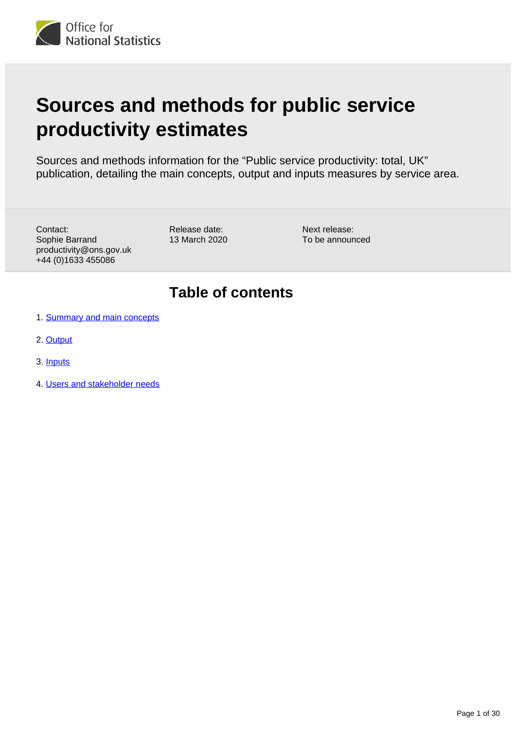<span id="page-0-0"></span>

# **Sources and methods for public service productivity estimates**

Sources and methods information for the "Public service productivity: total, UK" publication, detailing the main concepts, output and inputs measures by service area.

Contact: Sophie Barrand productivity@ons.gov.uk +44 (0)1633 455086

Release date: 13 March 2020

Next release: To be announced

## **Table of contents**

- 1. [Summary and main concepts](#page-1-0)
- 2. [Output](#page-4-0)
- 3. [Inputs](#page-19-0)
- 4. [Users and stakeholder needs](#page-29-0)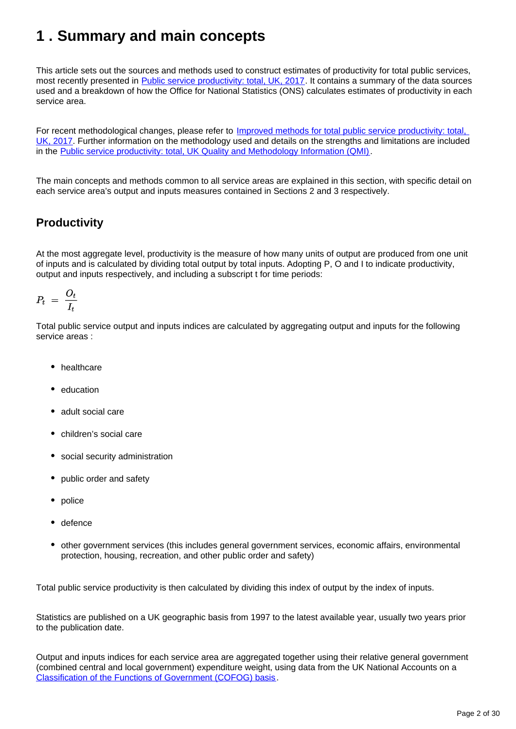## <span id="page-1-0"></span>**1 . Summary and main concepts**

This article sets out the sources and methods used to construct estimates of productivity for total public services, most recently presented in [Public service productivity: total, UK, 2017](https://www.ons.gov.uk/economy/economicoutputandproductivity/publicservicesproductivity/articles/publicservicesproductivityestimatestotalpublicservices/totaluk2017). It contains a summary of the data sources used and a breakdown of how the Office for National Statistics (ONS) calculates estimates of productivity in each service area.

For recent methodological changes, please refer to Improved methods for total public service productivity: total, [UK, 2017](https://www.ons.gov.uk/economy/economicoutputandproductivity/publicservicesproductivity/methodologies/improvedmethodsfortotalpublicserviceproductivitytotaluk2017). Further information on the methodology used and details on the strengths and limitations are included in the [Public service productivity: total, UK Quality and Methodology Information \(QMI\)](https://www.ons.gov.uk/economy/economicoutputandproductivity/publicservicesproductivity/methodologies/publicserviceproductivityestimatestotalpublicservicesqmi).

The main concepts and methods common to all service areas are explained in this section, with specific detail on each service area's output and inputs measures contained in Sections 2 and 3 respectively.

## **Productivity**

At the most aggregate level, productivity is the measure of how many units of output are produced from one unit of inputs and is calculated by dividing total output by total inputs. Adopting P, O and I to indicate productivity, output and inputs respectively, and including a subscript t for time periods:

$$
P_t\,\,=\,\,\frac{O_t}{I_t}
$$

Total public service output and inputs indices are calculated by aggregating output and inputs for the following service areas :

- healthcare
- education
- adult social care
- children's social care
- social security administration
- public order and safety
- police
- defence
- other government services (this includes general government services, economic affairs, environmental protection, housing, recreation, and other public order and safety)

Total public service productivity is then calculated by dividing this index of output by the index of inputs.

Statistics are published on a UK geographic basis from 1997 to the latest available year, usually two years prior to the publication date.

Output and inputs indices for each service area are aggregated together using their relative general government (combined central and local government) expenditure weight, using data from the UK National Accounts on a [Classification of the Functions of Government \(COFOG\) basis.](https://ec.europa.eu/eurostat/statistics-explained/index.php?title=Glossary:Classification_of_the_functions_of_government_(COFOG))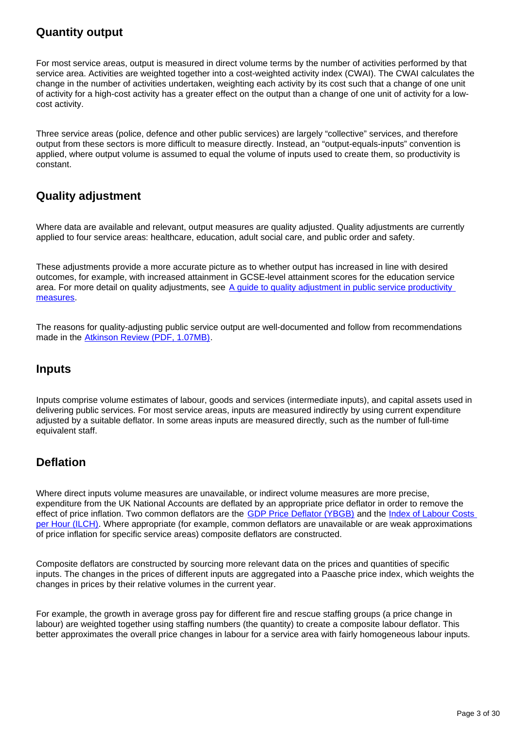## **Quantity output**

For most service areas, output is measured in direct volume terms by the number of activities performed by that service area. Activities are weighted together into a cost-weighted activity index (CWAI). The CWAI calculates the change in the number of activities undertaken, weighting each activity by its cost such that a change of one unit of activity for a high-cost activity has a greater effect on the output than a change of one unit of activity for a lowcost activity.

Three service areas (police, defence and other public services) are largely "collective" services, and therefore output from these sectors is more difficult to measure directly. Instead, an "output-equals-inputs" convention is applied, where output volume is assumed to equal the volume of inputs used to create them, so productivity is constant.

## **Quality adjustment**

Where data are available and relevant, output measures are quality adjusted. Quality adjustments are currently applied to four service areas: healthcare, education, adult social care, and public order and safety.

These adjustments provide a more accurate picture as to whether output has increased in line with desired outcomes, for example, with increased attainment in GCSE-level attainment scores for the education service area. For more detail on quality adjustments, see A guide to quality adjustment in public service productivity [measures](https://www.ons.gov.uk/economy/economicoutputandproductivity/publicservicesproductivity/articles/aguidetoqualityadjustmentinpublicserviceproductivitymeasures/2019-08-07).

The reasons for quality-adjusting public service output are well-documented and follow from recommendations made in the [Atkinson Review \(PDF, 1.07MB\).](http://www.ons.gov.uk/ons/guide-method/method-quality/specific/public-sector-methodology/articles/atkinson-review-final-report.pdf)

### **Inputs**

Inputs comprise volume estimates of labour, goods and services (intermediate inputs), and capital assets used in delivering public services. For most service areas, inputs are measured indirectly by using current expenditure adjusted by a suitable deflator. In some areas inputs are measured directly, such as the number of full-time equivalent staff.

## **Deflation**

Where direct inputs volume measures are unavailable, or indirect volume measures are more precise, expenditure from the UK National Accounts are deflated by an appropriate price deflator in order to remove the effect of price inflation. Two common deflators are the [GDP Price Deflator \(YBGB\)](https://www.ons.gov.uk/economy/grossdomesticproductgdp/timeseries/ybgb/pn2?referrer=search&searchTerm=ybgb) and the Index of Labour Costs [per Hour \(ILCH\).](https://www.ons.gov.uk/employmentandlabourmarket/peopleinwork/earningsandworkinghours/datasets/indexoflabourcostsperhourilchnonseasonallyadjusted) Where appropriate (for example, common deflators are unavailable or are weak approximations of price inflation for specific service areas) composite deflators are constructed.

Composite deflators are constructed by sourcing more relevant data on the prices and quantities of specific inputs. The changes in the prices of different inputs are aggregated into a Paasche price index, which weights the changes in prices by their relative volumes in the current year.

For example, the growth in average gross pay for different fire and rescue staffing groups (a price change in labour) are weighted together using staffing numbers (the quantity) to create a composite labour deflator. This better approximates the overall price changes in labour for a service area with fairly homogeneous labour inputs.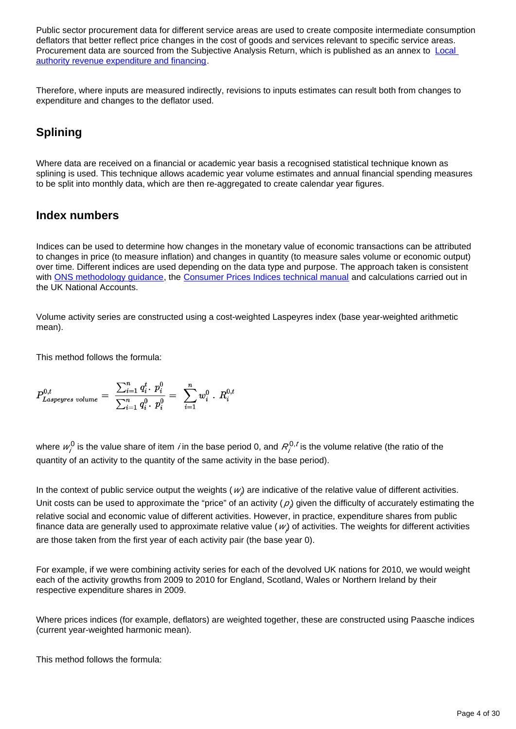Public sector procurement data for different service areas are used to create composite intermediate consumption deflators that better reflect price changes in the cost of goods and services relevant to specific service areas. Procurement data are sourced from the Subjective Analysis Return, which is published as an annex to Local [authority revenue expenditure and financing.](https://www.gov.uk/government/collections/local-authority-revenue-expenditure-and-financing)

Therefore, where inputs are measured indirectly, revisions to inputs estimates can result both from changes to expenditure and changes to the deflator used.

## **Splining**

Where data are received on a financial or academic year basis a recognised statistical technique known as splining is used. This technique allows academic year volume estimates and annual financial spending measures to be split into monthly data, which are then re-aggregated to create calendar year figures.

### **Index numbers**

Indices can be used to determine how changes in the monetary value of economic transactions can be attributed to changes in price (to measure inflation) and changes in quantity (to measure sales volume or economic output) over time. Different indices are used depending on the data type and purpose. The approach taken is consistent with [ONS methodology guidance](https://www.ons.gov.uk/methodology/methodologytopicsandstatisticalconcepts/indexnumbers), the [Consumer Prices Indices technical manual](https://www.ons.gov.uk/economy/inflationandpriceindices/methodologies/consumerpricesindicestechnicalmanual2019) and calculations carried out in the UK National Accounts.

Volume activity series are constructed using a cost-weighted Laspeyres index (base year-weighted arithmetic mean).

This method follows the formula:

$$
P^{0,t}_{Laspeyres\ volume} \,=\,\, \frac{\sum_{i=1}^n \,q_i^t \cdot \,p_i^0}{\sum_{i=1}^n \,q_i^0 \cdot \,p_i^0} \,=\,\,\, \sum_{i=1}^n w_i^0 \ .\,\, R_i^{0,t}
$$

where  $w_j^0$  is the value share of item *i* in the base period 0, and  $R_j^{0,t}$  is the volume relative (the ratio of the quantity of an activity to the quantity of the same activity in the base period).

In the context of public service output the weights ( $w$ ) are indicative of the relative value of different activities. Unit costs can be used to approximate the "price" of an activity  $(\rho)$  given the difficulty of accurately estimating the relative social and economic value of different activities. However, in practice, expenditure shares from public finance data are generally used to approximate relative value ( $w$ ) of activities. The weights for different activities are those taken from the first year of each activity pair (the base year 0).

For example, if we were combining activity series for each of the devolved UK nations for 2010, we would weight each of the activity growths from 2009 to 2010 for England, Scotland, Wales or Northern Ireland by their respective expenditure shares in 2009.

Where prices indices (for example, deflators) are weighted together, these are constructed using Paasche indices (current year-weighted harmonic mean).

This method follows the formula: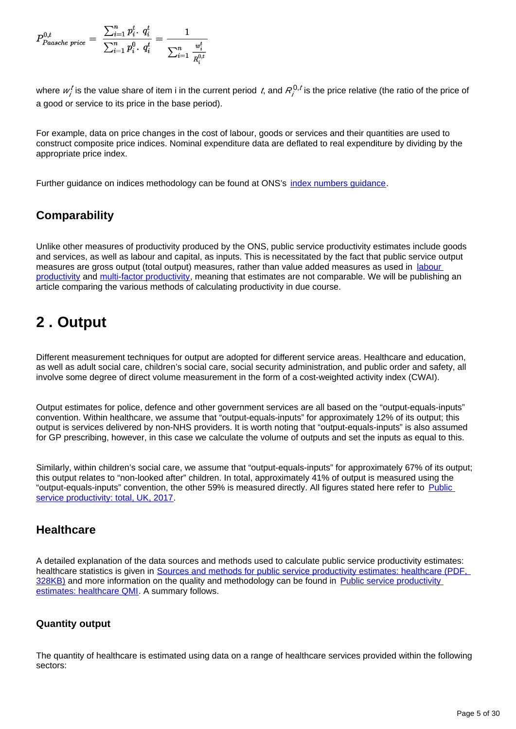$$
P^{0,t}_{Paasche\ price} = \ \frac{\sum_{i=1}^n p_i^t \cdot q_i^t}{\sum_{i=1}^n p_i^0 \cdot q_i^t} = \frac{1}{\sum_{i=1}^n \frac{w_i^t}{R_i^{0,t}}}
$$

where  $w_j^t$  is the value share of item i in the current period  $t$ , and  $R_j^{0,t}$  is the price relative (the ratio of the price of a good or service to its price in the base period).

For example, data on price changes in the cost of labour, goods or services and their quantities are used to construct composite price indices. Nominal expenditure data are deflated to real expenditure by dividing by the appropriate price index.

Further guidance on indices methodology can be found at ONS's [index numbers guidance.](https://www.ons.gov.uk/methodology/methodologytopicsandstatisticalconcepts/indexnumbers)

## **Comparability**

Unlike other measures of productivity produced by the ONS, public service productivity estimates include goods and services, as well as labour and capital, as inputs. This is necessitated by the fact that public service output measures are gross output (total output) measures, rather than value added measures as used in labour [productivity](https://www.ons.gov.uk/employmentandlabourmarket/peopleinwork/labourproductivity/bulletins/labourproductivity/latest) and [multi-factor productivity](https://www.ons.gov.uk/economy/economicoutputandproductivity/productivitymeasures/articles/multifactorproductivityestimates/latest), meaning that estimates are not comparable. We will be publishing an article comparing the various methods of calculating productivity in due course.

## <span id="page-4-0"></span>**2 . Output**

Different measurement techniques for output are adopted for different service areas. Healthcare and education, as well as adult social care, children's social care, social security administration, and public order and safety, all involve some degree of direct volume measurement in the form of a cost-weighted activity index (CWAI).

Output estimates for police, defence and other government services are all based on the "output-equals-inputs" convention. Within healthcare, we assume that "output-equals-inputs" for approximately 12% of its output; this output is services delivered by non-NHS providers. It is worth noting that "output-equals-inputs" is also assumed for GP prescribing, however, in this case we calculate the volume of outputs and set the inputs as equal to this.

Similarly, within children's social care, we assume that "output-equals-inputs" for approximately 67% of its output; this output relates to "non-looked after" children. In total, approximately 41% of output is measured using the "output-equals-inputs" convention, the other 59% is measured directly. All figures stated here refer to Public [service productivity: total, UK, 2017](https://www.ons.gov.uk/economy/economicoutputandproductivity/publicservicesproductivity/articles/publicservicesproductivityestimatestotalpublicservices/totaluk2017).

## **Healthcare**

A detailed explanation of the data sources and methods used to calculate public service productivity estimates: healthcare statistics is given in Sources and methods for public service productivity estimates: healthcare (PDF, [328KB\)](http://www.ons.gov.uk/ons/guide-method/method-quality/specific/public-sector-methodology/articles/public-service-productivity-estimates--healthcare.pdf) and more information on the quality and methodology can be found in Public service productivity [estimates: healthcare QMI.](https://www.ons.gov.uk/economy/economicoutputandproductivity/publicservicesproductivity/methodologies/publicserviceproductivityestimateshealthcareqmi) A summary follows.

#### **Quantity output**

The quantity of healthcare is estimated using data on a range of healthcare services provided within the following sectors: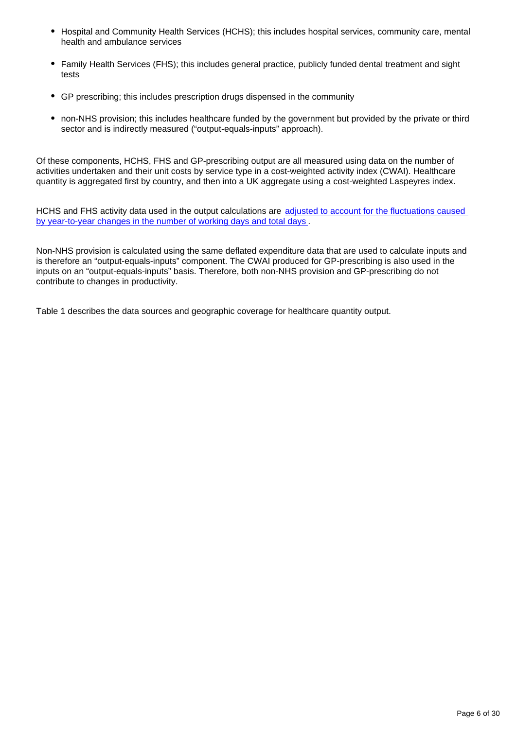- Hospital and Community Health Services (HCHS); this includes hospital services, community care, mental health and ambulance services
- Family Health Services (FHS); this includes general practice, publicly funded dental treatment and sight tests
- GP prescribing; this includes prescription drugs dispensed in the community
- non-NHS provision; this includes healthcare funded by the government but provided by the private or third sector and is indirectly measured ("output-equals-inputs" approach).

Of these components, HCHS, FHS and GP-prescribing output are all measured using data on the number of activities undertaken and their unit costs by service type in a cost-weighted activity index (CWAI). Healthcare quantity is aggregated first by country, and then into a UK aggregate using a cost-weighted Laspeyres index.

HCHS and FHS activity data used in the output calculations are [adjusted to account for the fluctuations caused](https://www.ons.gov.uk/economy/economicoutputandproductivity/publicservicesproductivity/methodologies/methodologicaldevelopmentstopublicserviceproductivityhealthcare2020update)  [by year-to-year changes in the number of working days and total days](https://www.ons.gov.uk/economy/economicoutputandproductivity/publicservicesproductivity/methodologies/methodologicaldevelopmentstopublicserviceproductivityhealthcare2020update) .

Non-NHS provision is calculated using the same deflated expenditure data that are used to calculate inputs and is therefore an "output-equals-inputs" component. The CWAI produced for GP-prescribing is also used in the inputs on an "output-equals-inputs" basis. Therefore, both non-NHS provision and GP-prescribing do not contribute to changes in productivity.

Table 1 describes the data sources and geographic coverage for healthcare quantity output.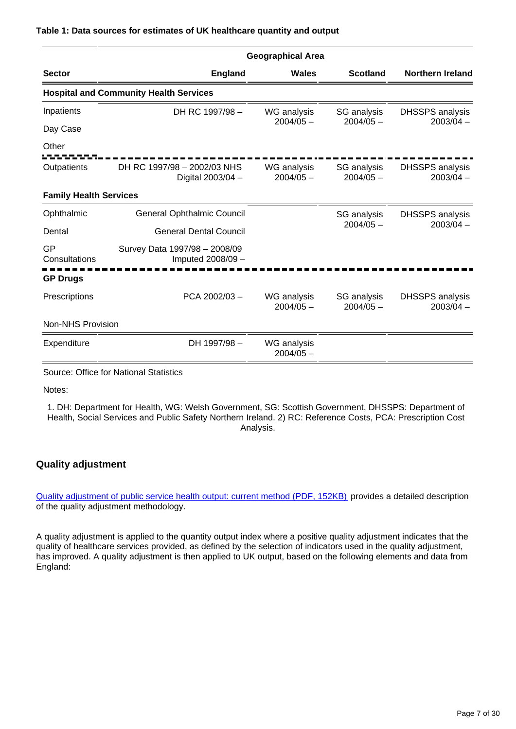#### **Table 1: Data sources for estimates of UK healthcare quantity and output**

|                               | <b>Geographical Area</b>                           |                                   |                            |                                       |  |  |
|-------------------------------|----------------------------------------------------|-----------------------------------|----------------------------|---------------------------------------|--|--|
| <b>Sector</b>                 | <b>England</b>                                     | Wales                             | <b>Scotland</b>            | <b>Northern Ireland</b>               |  |  |
|                               | <b>Hospital and Community Health Services</b>      |                                   |                            |                                       |  |  |
| Inpatients                    | DH RC 1997/98 -                                    | WG analysis                       | SG analysis                | <b>DHSSPS</b> analysis                |  |  |
| Day Case                      |                                                    | $2004/05 -$                       | $2004/05 -$                | $2003/04 -$                           |  |  |
| Other                         |                                                    |                                   |                            |                                       |  |  |
| Outpatients                   | DH RC 1997/98 - 2002/03 NHS<br>Digital 2003/04 -   | WG analysis<br>$2004/05 -$        | SG analysis<br>$2004/05 -$ | <b>DHSSPS</b> analysis<br>$2003/04 -$ |  |  |
| <b>Family Health Services</b> |                                                    |                                   |                            |                                       |  |  |
| Ophthalmic                    | <b>General Ophthalmic Council</b>                  |                                   | SG analysis                | <b>DHSSPS</b> analysis                |  |  |
| Dental                        | <b>General Dental Council</b>                      |                                   | $2004/05 -$                | $2003/04 -$                           |  |  |
| GP<br>Consultations           | Survey Data 1997/98 - 2008/09<br>Imputed 2008/09 - |                                   |                            |                                       |  |  |
| <b>GP Drugs</b>               |                                                    |                                   |                            |                                       |  |  |
| Prescriptions                 | PCA 2002/03-                                       | <b>WG</b> analysis<br>$2004/05 -$ | SG analysis<br>$2004/05 -$ | <b>DHSSPS</b> analysis<br>$2003/04 -$ |  |  |
| <b>Non-NHS Provision</b>      |                                                    |                                   |                            |                                       |  |  |
| Expenditure                   | DH 1997/98 -                                       | WG analysis<br>$2004/05 -$        |                            |                                       |  |  |

Source: Office for National Statistics

Notes:

1. DH: Department for Health, WG: Welsh Government, SG: Scottish Government, DHSSPS: Department of Health, Social Services and Public Safety Northern Ireland. 2) RC: Reference Costs, PCA: Prescription Cost Analysis.

#### **Quality adjustment**

[Quality adjustment of public service health output: current method \(PDF, 152KB\)](http://www.ons.gov.uk/ons/guide-method/method-quality/specific/public-sector-methodology/articles/quality-adjustment-of-public-service-health-output--current-method.pdf) provides a detailed description of the quality adjustment methodology.

A quality adjustment is applied to the quantity output index where a positive quality adjustment indicates that the quality of healthcare services provided, as defined by the selection of indicators used in the quality adjustment, has improved. A quality adjustment is then applied to UK output, based on the following elements and data from England: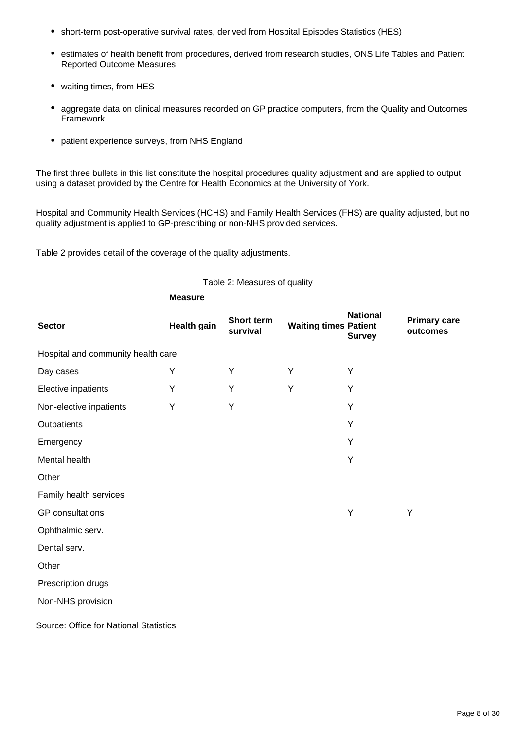- short-term post-operative survival rates, derived from Hospital Episodes Statistics (HES)
- estimates of health benefit from procedures, derived from research studies, ONS Life Tables and Patient Reported Outcome Measures
- waiting times, from HES
- aggregate data on clinical measures recorded on GP practice computers, from the Quality and Outcomes Framework
- patient experience surveys, from NHS England

The first three bullets in this list constitute the hospital procedures quality adjustment and are applied to output using a dataset provided by the Centre for Health Economics at the University of York.

Hospital and Community Health Services (HCHS) and Family Health Services (FHS) are quality adjusted, but no quality adjustment is applied to GP-prescribing or non-NHS provided services.

Table 2 provides detail of the coverage of the quality adjustments.

#### Table 2: Measures of quality

|                                        | <b>Measure</b>     |                               |                              |                                  |                                 |
|----------------------------------------|--------------------|-------------------------------|------------------------------|----------------------------------|---------------------------------|
| <b>Sector</b>                          | <b>Health gain</b> | <b>Short term</b><br>survival | <b>Waiting times Patient</b> | <b>National</b><br><b>Survey</b> | <b>Primary care</b><br>outcomes |
| Hospital and community health care     |                    |                               |                              |                                  |                                 |
| Day cases                              | Υ                  | Υ                             | Υ                            | Υ                                |                                 |
| Elective inpatients                    | Υ                  | Υ                             | Y                            | Υ                                |                                 |
| Non-elective inpatients                | Y                  | Υ                             |                              | Υ                                |                                 |
| Outpatients                            |                    |                               |                              | Y                                |                                 |
| Emergency                              |                    |                               |                              | Y                                |                                 |
| Mental health                          |                    |                               |                              | Υ                                |                                 |
| Other                                  |                    |                               |                              |                                  |                                 |
| Family health services                 |                    |                               |                              |                                  |                                 |
| <b>GP</b> consultations                |                    |                               |                              | Υ                                | Υ                               |
| Ophthalmic serv.                       |                    |                               |                              |                                  |                                 |
| Dental serv.                           |                    |                               |                              |                                  |                                 |
| Other                                  |                    |                               |                              |                                  |                                 |
| Prescription drugs                     |                    |                               |                              |                                  |                                 |
| Non-NHS provision                      |                    |                               |                              |                                  |                                 |
| Source: Office for National Statistics |                    |                               |                              |                                  |                                 |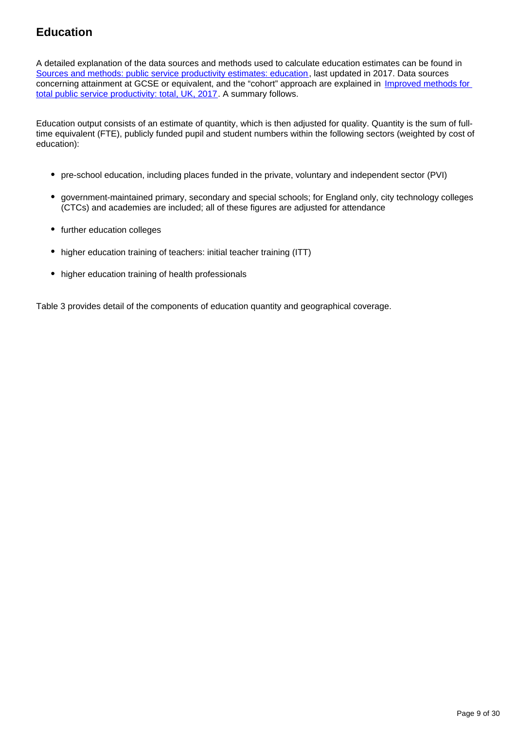## **Education**

A detailed explanation of the data sources and methods used to calculate education estimates can be found in [Sources and methods: public service productivity estimates: education,](https://www.ons.gov.uk/economy/economicoutputandproductivity/publicservicesproductivity/methodologies/sourcesandmethodspublicserviceproductivityestimateseducation) last updated in 2017. Data sources concerning attainment at GCSE or equivalent, and the "cohort" approach are explained in [Improved methods for](https://www.ons.gov.uk/economy/economicoutputandproductivity/publicservicesproductivity/methodologies/improvedmethodsfortotalpublicserviceproductivitytotaluk2017)  [total public service productivity: total, UK, 2017.](https://www.ons.gov.uk/economy/economicoutputandproductivity/publicservicesproductivity/methodologies/improvedmethodsfortotalpublicserviceproductivitytotaluk2017) A summary follows.

Education output consists of an estimate of quantity, which is then adjusted for quality. Quantity is the sum of fulltime equivalent (FTE), publicly funded pupil and student numbers within the following sectors (weighted by cost of education):

- pre-school education, including places funded in the private, voluntary and independent sector (PVI)
- government-maintained primary, secondary and special schools; for England only, city technology colleges (CTCs) and academies are included; all of these figures are adjusted for attendance
- further education colleges
- higher education training of teachers: initial teacher training (ITT)
- higher education training of health professionals

Table 3 provides detail of the components of education quantity and geographical coverage.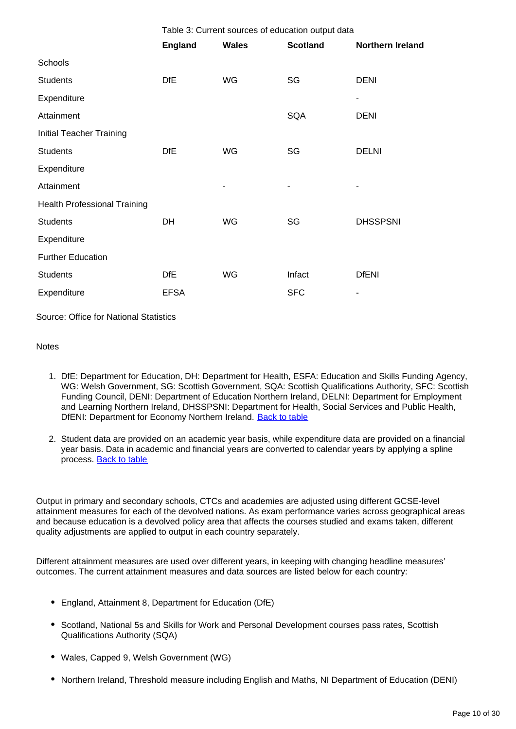|                                     | Table 3: Current sources of education output data |              |                 |                         |
|-------------------------------------|---------------------------------------------------|--------------|-----------------|-------------------------|
|                                     | <b>England</b>                                    | <b>Wales</b> | <b>Scotland</b> | <b>Northern Ireland</b> |
| Schools                             |                                                   |              |                 |                         |
| <b>Students</b>                     | <b>DfE</b>                                        | WG           | SG              | <b>DENI</b>             |
| Expenditure                         |                                                   |              |                 |                         |
| Attainment                          |                                                   |              | SQA             | <b>DENI</b>             |
| <b>Initial Teacher Training</b>     |                                                   |              |                 |                         |
| <b>Students</b>                     | <b>DfE</b>                                        | WG           | SG              | <b>DELNI</b>            |
| Expenditure                         |                                                   |              |                 |                         |
| Attainment                          |                                                   |              |                 |                         |
| <b>Health Professional Training</b> |                                                   |              |                 |                         |
| <b>Students</b>                     | DH                                                | WG           | SG              | <b>DHSSPSNI</b>         |
| Expenditure                         |                                                   |              |                 |                         |
| <b>Further Education</b>            |                                                   |              |                 |                         |
| <b>Students</b>                     | <b>DfE</b>                                        | WG           | Infact          | <b>DfENI</b>            |
| Expenditure                         | <b>EFSA</b>                                       |              | <b>SFC</b>      |                         |
|                                     |                                                   |              |                 |                         |

Source: Office for National Statistics

#### **Notes**

- 1. DfE: Department for Education, DH: Department for Health, ESFA: Education and Skills Funding Agency, WG: Welsh Government, SG: Scottish Government, SQA: Scottish Qualifications Authority, SFC: Scottish Funding Council, DENI: Department of Education Northern Ireland, DELNI: Department for Employment and Learning Northern Ireland, DHSSPSNI: Department for Health, Social Services and Public Health, DfENI: Department for Economy Northern Ireland. [Back to table](#page-0-0)
- 2. Student data are provided on an academic year basis, while expenditure data are provided on a financial year basis. Data in academic and financial years are converted to calendar years by applying a spline process. [Back to table](#page-0-0)

Output in primary and secondary schools, CTCs and academies are adjusted using different GCSE-level attainment measures for each of the devolved nations. As exam performance varies across geographical areas and because education is a devolved policy area that affects the courses studied and exams taken, different quality adjustments are applied to output in each country separately.

Different attainment measures are used over different years, in keeping with changing headline measures' outcomes. The current attainment measures and data sources are listed below for each country:

- England, Attainment 8, Department for Education (DfE)
- Scotland, National 5s and Skills for Work and Personal Development courses pass rates, Scottish Qualifications Authority (SQA)
- Wales, Capped 9, Welsh Government (WG)
- Northern Ireland, Threshold measure including English and Maths, NI Department of Education (DENI)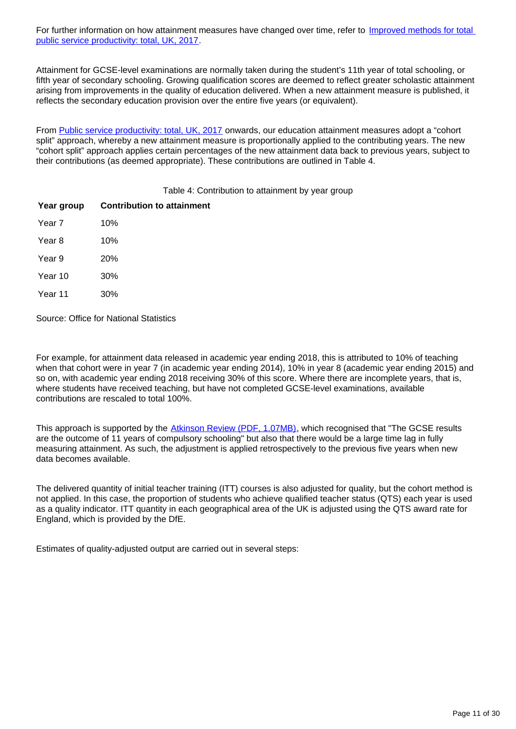For further information on how attainment measures have changed over time, refer to Improved methods for total [public service productivity: total, UK, 2017](https://www.ons.gov.uk/economy/economicoutputandproductivity/publicservicesproductivity/methodologies/improvedmethodsfortotalpublicserviceproductivitytotaluk2017).

Attainment for GCSE-level examinations are normally taken during the student's 11th year of total schooling, or fifth year of secondary schooling. Growing qualification scores are deemed to reflect greater scholastic attainment arising from improvements in the quality of education delivered. When a new attainment measure is published, it reflects the secondary education provision over the entire five years (or equivalent).

From [Public service productivity: total, UK, 2017](https://www.ons.gov.uk/economy/economicoutputandproductivity/publicservicesproductivity/articles/publicservicesproductivityestimatestotalpublicservices/totaluk2017) onwards, our education attainment measures adopt a "cohort split" approach, whereby a new attainment measure is proportionally applied to the contributing years. The new "cohort split" approach applies certain percentages of the new attainment data back to previous years, subject to their contributions (as deemed appropriate). These contributions are outlined in Table 4.

Table 4: Contribution to attainment by year group

| Year group | <b>Contribution to attainment</b> |
|------------|-----------------------------------|
| Year 7     | 10%                               |
| Year 8     | 10%                               |
| Year 9     | <b>20%</b>                        |
| Year 10    | 30%                               |
| Year 11    | 30%                               |

Source: Office for National Statistics

For example, for attainment data released in academic year ending 2018, this is attributed to 10% of teaching when that cohort were in year 7 (in academic year ending 2014), 10% in year 8 (academic year ending 2015) and so on, with academic year ending 2018 receiving 30% of this score. Where there are incomplete years, that is, where students have received teaching, but have not completed GCSE-level examinations, available contributions are rescaled to total 100%.

This approach is supported by the [Atkinson Review \(PDF, 1.07MB\)](http://www.ons.gov.uk/ons/guide-method/method-quality/specific/public-sector-methodology/articles/atkinson-review-final-report.pdf), which recognised that "The GCSE results are the outcome of 11 years of compulsory schooling" but also that there would be a large time lag in fully measuring attainment. As such, the adjustment is applied retrospectively to the previous five years when new data becomes available.

The delivered quantity of initial teacher training (ITT) courses is also adjusted for quality, but the cohort method is not applied. In this case, the proportion of students who achieve qualified teacher status (QTS) each year is used as a quality indicator. ITT quantity in each geographical area of the UK is adjusted using the QTS award rate for England, which is provided by the DfE.

Estimates of quality-adjusted output are carried out in several steps: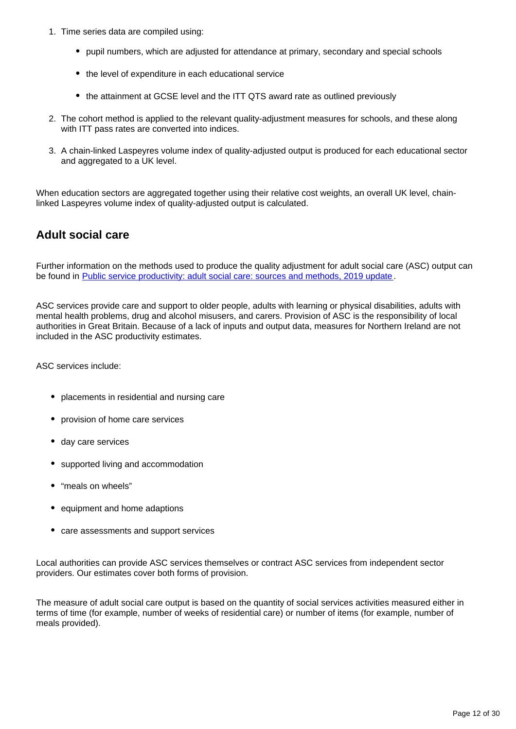- 1. Time series data are compiled using:
	- pupil numbers, which are adjusted for attendance at primary, secondary and special schools
	- the level of expenditure in each educational service
	- the attainment at GCSE level and the ITT QTS award rate as outlined previously
- 2. The cohort method is applied to the relevant quality-adjustment measures for schools, and these along with ITT pass rates are converted into indices.
- 3. A chain-linked Laspeyres volume index of quality-adjusted output is produced for each educational sector and aggregated to a UK level.

When education sectors are aggregated together using their relative cost weights, an overall UK level, chainlinked Laspeyres volume index of quality-adjusted output is calculated.

### **Adult social care**

Further information on the methods used to produce the quality adjustment for adult social care (ASC) output can be found in [Public service productivity: adult social care: sources and methods, 2019 update](https://www.ons.gov.uk/economy/economicoutputandproductivity/publicservicesproductivity/methodologies/publicserviceproductivityadultsocialcaresourcesandmethods2019update).

ASC services provide care and support to older people, adults with learning or physical disabilities, adults with mental health problems, drug and alcohol misusers, and carers. Provision of ASC is the responsibility of local authorities in Great Britain. Because of a lack of inputs and output data, measures for Northern Ireland are not included in the ASC productivity estimates.

ASC services include:

- placements in residential and nursing care
- provision of home care services
- day care services
- supported living and accommodation
- "meals on wheels"
- equipment and home adaptions
- care assessments and support services

Local authorities can provide ASC services themselves or contract ASC services from independent sector providers. Our estimates cover both forms of provision.

The measure of adult social care output is based on the quantity of social services activities measured either in terms of time (for example, number of weeks of residential care) or number of items (for example, number of meals provided).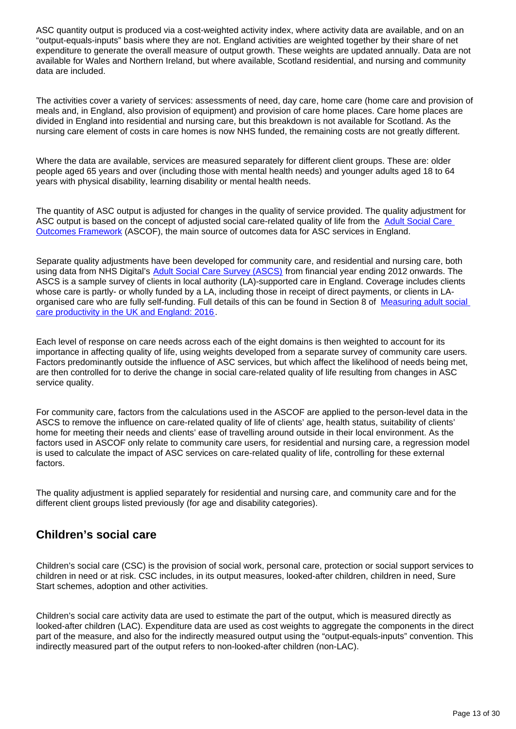ASC quantity output is produced via a cost-weighted activity index, where activity data are available, and on an "output-equals-inputs" basis where they are not. England activities are weighted together by their share of net expenditure to generate the overall measure of output growth. These weights are updated annually. Data are not available for Wales and Northern Ireland, but where available, Scotland residential, and nursing and community data are included.

The activities cover a variety of services: assessments of need, day care, home care (home care and provision of meals and, in England, also provision of equipment) and provision of care home places. Care home places are divided in England into residential and nursing care, but this breakdown is not available for Scotland. As the nursing care element of costs in care homes is now NHS funded, the remaining costs are not greatly different.

Where the data are available, services are measured separately for different client groups. These are: older people aged 65 years and over (including those with mental health needs) and younger adults aged 18 to 64 years with physical disability, learning disability or mental health needs.

The quantity of ASC output is adjusted for changes in the quality of service provided. The quality adjustment for ASC output is based on the concept of adjusted social care-related quality of life from the Adult Social Care [Outcomes Framework](https://digital.nhs.uk/data-and-information/publications/statistical/adult-social-care-outcomes-framework-ascof) (ASCOF), the main source of outcomes data for ASC services in England.

Separate quality adjustments have been developed for community care, and residential and nursing care, both using data from NHS Digital's [Adult Social Care Survey \(ASCS\)](https://digital.nhs.uk/data-and-information/publications/statistical/personal-social-services-adult-social-care-survey/england-2018-19) from financial year ending 2012 onwards. The ASCS is a sample survey of clients in local authority (LA)-supported care in England. Coverage includes clients whose care is partly- or wholly funded by a LA, including those in receipt of direct payments, or clients in LAorganised care who are fully self-funding. Full details of this can be found in Section 8 of [Measuring adult social](https://www.ons.gov.uk/economy/economicoutputandproductivity/publicservicesproductivity/articles/measuringadultsocialcareproductivity/2018-06-01)  [care productivity in the UK and England: 2016](https://www.ons.gov.uk/economy/economicoutputandproductivity/publicservicesproductivity/articles/measuringadultsocialcareproductivity/2018-06-01).

Each level of response on care needs across each of the eight domains is then weighted to account for its importance in affecting quality of life, using weights developed from a separate survey of community care users. Factors predominantly outside the influence of ASC services, but which affect the likelihood of needs being met, are then controlled for to derive the change in social care-related quality of life resulting from changes in ASC service quality.

For community care, factors from the calculations used in the ASCOF are applied to the person-level data in the ASCS to remove the influence on care-related quality of life of clients' age, health status, suitability of clients' home for meeting their needs and clients' ease of travelling around outside in their local environment. As the factors used in ASCOF only relate to community care users, for residential and nursing care, a regression model is used to calculate the impact of ASC services on care-related quality of life, controlling for these external factors.

The quality adjustment is applied separately for residential and nursing care, and community care and for the different client groups listed previously (for age and disability categories).

## **Children's social care**

Children's social care (CSC) is the provision of social work, personal care, protection or social support services to children in need or at risk. CSC includes, in its output measures, looked-after children, children in need, Sure Start schemes, adoption and other activities.

Children's social care activity data are used to estimate the part of the output, which is measured directly as looked-after children (LAC). Expenditure data are used as cost weights to aggregate the components in the direct part of the measure, and also for the indirectly measured output using the "output-equals-inputs" convention. This indirectly measured part of the output refers to non-looked-after children (non-LAC).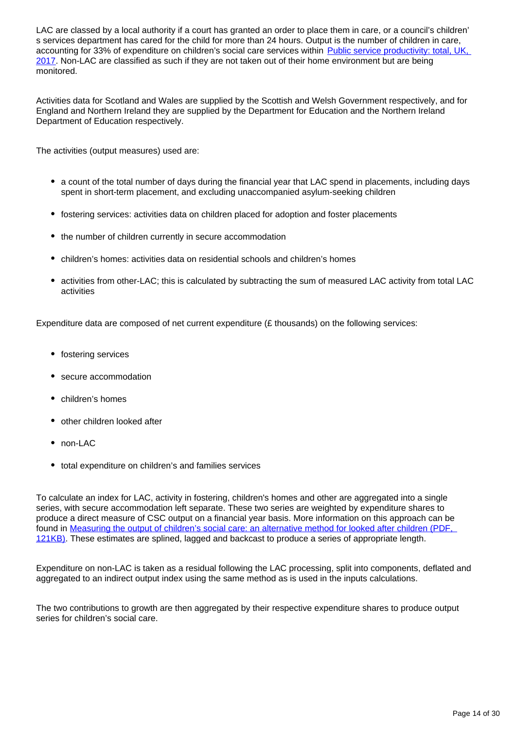LAC are classed by a local authority if a court has granted an order to place them in care, or a council's children' s services department has cared for the child for more than 24 hours. Output is the number of children in care, accounting for 33% of expenditure on children's social care services within [Public service productivity: total, UK,](https://www.ons.gov.uk/economy/economicoutputandproductivity/publicservicesproductivity/articles/publicservicesproductivityestimatestotalpublicservices/totaluk2017)  [2017](https://www.ons.gov.uk/economy/economicoutputandproductivity/publicservicesproductivity/articles/publicservicesproductivityestimatestotalpublicservices/totaluk2017). Non-LAC are classified as such if they are not taken out of their home environment but are being monitored.

Activities data for Scotland and Wales are supplied by the Scottish and Welsh Government respectively, and for England and Northern Ireland they are supplied by the Department for Education and the Northern Ireland Department of Education respectively.

The activities (output measures) used are:

- a count of the total number of days during the financial year that LAC spend in placements, including days spent in short-term placement, and excluding unaccompanied asylum-seeking children
- fostering services: activities data on children placed for adoption and foster placements
- the number of children currently in secure accommodation
- children's homes: activities data on residential schools and children's homes
- activities from other-LAC; this is calculated by subtracting the sum of measured LAC activity from total LAC activities

Expenditure data are composed of net current expenditure (£ thousands) on the following services:

- fostering services
- secure accommodation
- children's homes
- other children looked after
- non-LAC
- total expenditure on children's and families services

To calculate an index for LAC, activity in fostering, children's homes and other are aggregated into a single series, with secure accommodation left separate. These two series are weighted by expenditure shares to produce a direct measure of CSC output on a financial year basis. More information on this approach can be found in [Measuring the output of children's social care: an alternative method for looked after children \(PDF,](http://www.ons.gov.uk/ons/rel/psa/public-service-productivity/an-alternative-method-for-looked-after-children/measuring-the-output-of-children-s-social-care.pdf)  [121KB\).](http://www.ons.gov.uk/ons/rel/psa/public-service-productivity/an-alternative-method-for-looked-after-children/measuring-the-output-of-children-s-social-care.pdf) These estimates are splined, lagged and backcast to produce a series of appropriate length.

Expenditure on non-LAC is taken as a residual following the LAC processing, split into components, deflated and aggregated to an indirect output index using the same method as is used in the inputs calculations.

The two contributions to growth are then aggregated by their respective expenditure shares to produce output series for children's social care.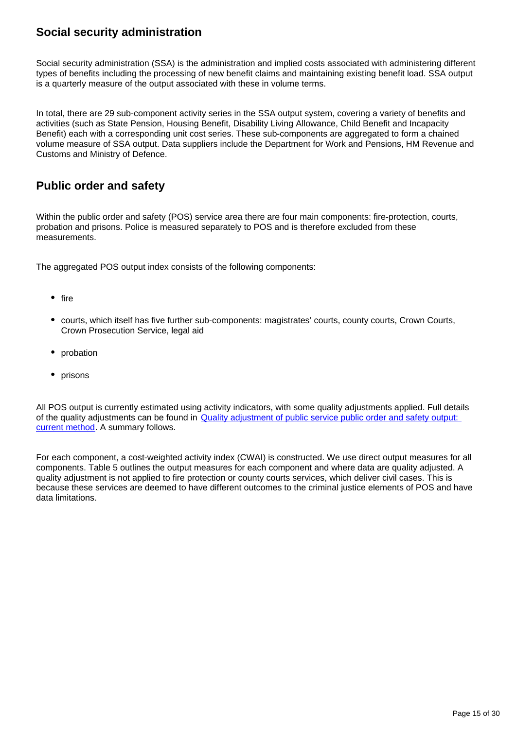## **Social security administration**

Social security administration (SSA) is the administration and implied costs associated with administering different types of benefits including the processing of new benefit claims and maintaining existing benefit load. SSA output is a quarterly measure of the output associated with these in volume terms.

In total, there are 29 sub-component activity series in the SSA output system, covering a variety of benefits and activities (such as State Pension, Housing Benefit, Disability Living Allowance, Child Benefit and Incapacity Benefit) each with a corresponding unit cost series. These sub-components are aggregated to form a chained volume measure of SSA output. Data suppliers include the Department for Work and Pensions, HM Revenue and Customs and Ministry of Defence.

## **Public order and safety**

Within the public order and safety (POS) service area there are four main components: fire-protection, courts, probation and prisons. Police is measured separately to POS and is therefore excluded from these measurements.

The aggregated POS output index consists of the following components:

- $\bullet$  fire
- courts, which itself has five further sub-components: magistrates' courts, county courts, Crown Courts, Crown Prosecution Service, legal aid
- probation
- prisons

All POS output is currently estimated using activity indicators, with some quality adjustments applied. Full details of the quality adjustments can be found in [Quality adjustment of public service public order and safety output:](https://www.ons.gov.uk/economy/economicoutputandproductivity/publicservicesproductivity/methodologies/qualityadjustmentofpublicservicepublicorderandsafetyoutputcurrentmethod)  [current method.](https://www.ons.gov.uk/economy/economicoutputandproductivity/publicservicesproductivity/methodologies/qualityadjustmentofpublicservicepublicorderandsafetyoutputcurrentmethod) A summary follows.

For each component, a cost-weighted activity index (CWAI) is constructed. We use direct output measures for all components. Table 5 outlines the output measures for each component and where data are quality adjusted. A quality adjustment is not applied to fire protection or county courts services, which deliver civil cases. This is because these services are deemed to have different outcomes to the criminal justice elements of POS and have data limitations.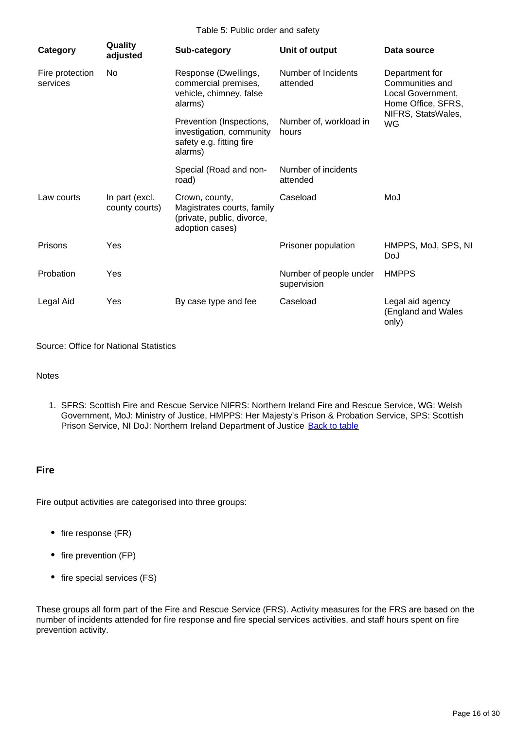Table 5: Public order and safety

| Category                    | Quality<br>adjusted              | Sub-category                                                                                  | Unit of output                        | Data source                                                                  |
|-----------------------------|----------------------------------|-----------------------------------------------------------------------------------------------|---------------------------------------|------------------------------------------------------------------------------|
| Fire protection<br>services | No                               | Response (Dwellings,<br>commercial premises,<br>vehicle, chimney, false<br>alarms)            | Number of Incidents<br>attended       | Department for<br>Communities and<br>Local Government,<br>Home Office, SFRS, |
|                             |                                  | Prevention (Inspections,<br>investigation, community<br>safety e.g. fitting fire<br>alarms)   | Number of, workload in<br>hours       | NIFRS, StatsWales,<br><b>WG</b>                                              |
|                             |                                  | Special (Road and non-<br>road)                                                               | Number of incidents<br>attended       |                                                                              |
| Law courts                  | In part (excl.<br>county courts) | Crown, county,<br>Magistrates courts, family<br>(private, public, divorce,<br>adoption cases) | Caseload                              | MoJ                                                                          |
| Prisons                     | Yes                              |                                                                                               | Prisoner population                   | HMPPS, MoJ, SPS, NI<br>DoJ                                                   |
| Probation                   | Yes                              |                                                                                               | Number of people under<br>supervision | <b>HMPPS</b>                                                                 |
| Legal Aid                   | Yes                              | By case type and fee                                                                          | Caseload                              | Legal aid agency<br>(England and Wales<br>only)                              |

Source: Office for National Statistics

#### **Notes**

1. SFRS: Scottish Fire and Rescue Service NIFRS: Northern Ireland Fire and Rescue Service, WG: Welsh Government, MoJ: Ministry of Justice, HMPPS: Her Majesty's Prison & Probation Service, SPS: Scottish Prison Service, NI DoJ: Northern Ireland Department of Justice [Back to table](#page-0-0)

#### **Fire**

Fire output activities are categorised into three groups:

- fire response (FR)
- fire prevention (FP)
- fire special services (FS)

These groups all form part of the Fire and Rescue Service (FRS). Activity measures for the FRS are based on the number of incidents attended for fire response and fire special services activities, and staff hours spent on fire prevention activity.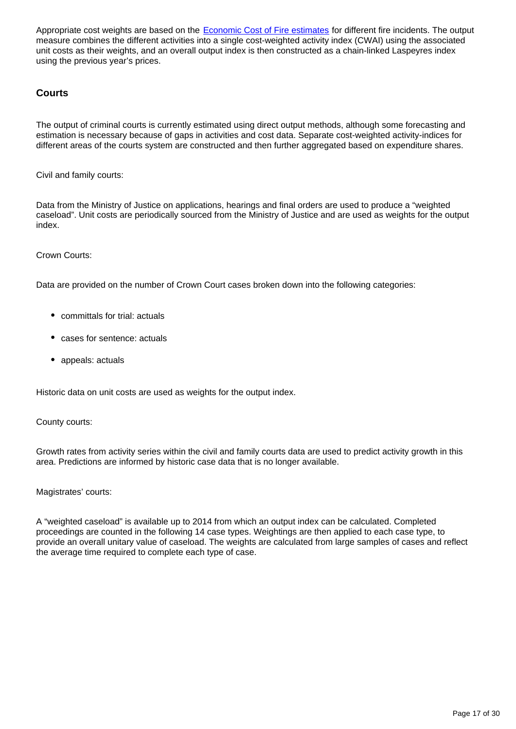Appropriate cost weights are based on the [Economic Cost of Fire estimates](https://webarchive.nationalarchives.gov.uk/20121103072344/http:/www.communities.gov.uk/fire/researchandstatistics/firestatistics/economiccost/) for different fire incidents. The output measure combines the different activities into a single cost-weighted activity index (CWAI) using the associated unit costs as their weights, and an overall output index is then constructed as a chain-linked Laspeyres index using the previous year's prices.

#### **Courts**

The output of criminal courts is currently estimated using direct output methods, although some forecasting and estimation is necessary because of gaps in activities and cost data. Separate cost-weighted activity-indices for different areas of the courts system are constructed and then further aggregated based on expenditure shares.

Civil and family courts:

Data from the Ministry of Justice on applications, hearings and final orders are used to produce a "weighted caseload". Unit costs are periodically sourced from the Ministry of Justice and are used as weights for the output index.

Crown Courts:

Data are provided on the number of Crown Court cases broken down into the following categories:

- committals for trial: actuals
- cases for sentence: actuals
- appeals: actuals

Historic data on unit costs are used as weights for the output index.

County courts:

Growth rates from activity series within the civil and family courts data are used to predict activity growth in this area. Predictions are informed by historic case data that is no longer available.

Magistrates' courts:

A "weighted caseload" is available up to 2014 from which an output index can be calculated. Completed proceedings are counted in the following 14 case types. Weightings are then applied to each case type, to provide an overall unitary value of caseload. The weights are calculated from large samples of cases and reflect the average time required to complete each type of case.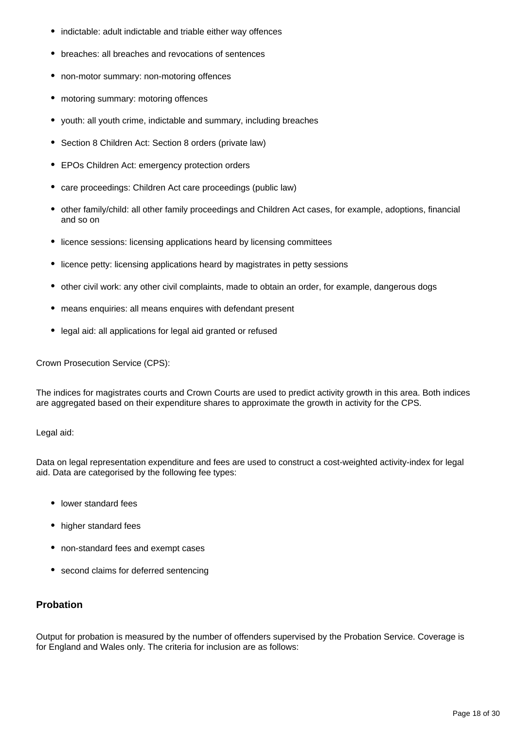- indictable: adult indictable and triable either way offences
- breaches: all breaches and revocations of sentences
- non-motor summary: non-motoring offences
- motoring summary: motoring offences
- youth: all youth crime, indictable and summary, including breaches
- Section 8 Children Act: Section 8 orders (private law)
- EPOs Children Act: emergency protection orders
- care proceedings: Children Act care proceedings (public law)
- other family/child: all other family proceedings and Children Act cases, for example, adoptions, financial and so on
- licence sessions: licensing applications heard by licensing committees
- licence petty: licensing applications heard by magistrates in petty sessions
- other civil work: any other civil complaints, made to obtain an order, for example, dangerous dogs
- means enquiries: all means enquires with defendant present
- legal aid: all applications for legal aid granted or refused

Crown Prosecution Service (CPS):

The indices for magistrates courts and Crown Courts are used to predict activity growth in this area. Both indices are aggregated based on their expenditure shares to approximate the growth in activity for the CPS.

Legal aid:

Data on legal representation expenditure and fees are used to construct a cost-weighted activity-index for legal aid. Data are categorised by the following fee types:

- lower standard fees
- higher standard fees
- non-standard fees and exempt cases
- second claims for deferred sentencing

#### **Probation**

Output for probation is measured by the number of offenders supervised by the Probation Service. Coverage is for England and Wales only. The criteria for inclusion are as follows: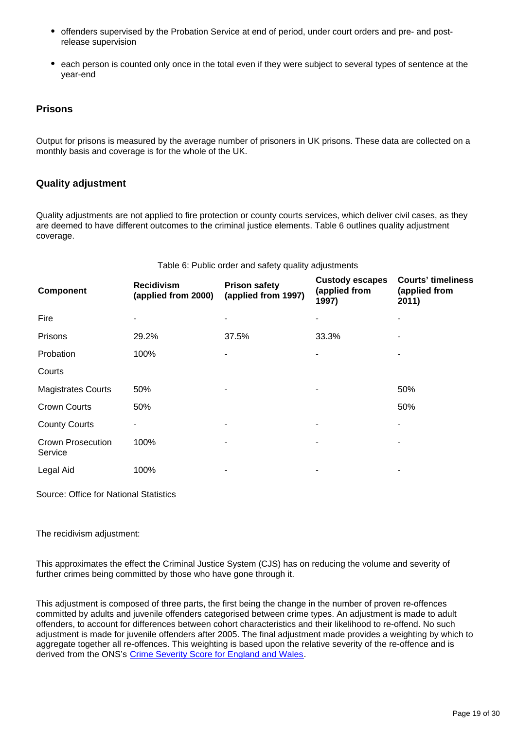- offenders supervised by the Probation Service at end of period, under court orders and pre- and postrelease supervision
- each person is counted only once in the total even if they were subject to several types of sentence at the year-end

#### **Prisons**

Output for prisons is measured by the average number of prisoners in UK prisons. These data are collected on a monthly basis and coverage is for the whole of the UK.

#### **Quality adjustment**

Quality adjustments are not applied to fire protection or county courts services, which deliver civil cases, as they are deemed to have different outcomes to the criminal justice elements. Table 6 outlines quality adjustment coverage.

| <b>Component</b>                    | <b>Recidivism</b><br>(applied from 2000) | <b>Prison safety</b><br>(applied from 1997) | <b>Custody escapes</b><br>(applied from<br>1997) | <b>Courts' timeliness</b><br>(applied from<br>2011) |
|-------------------------------------|------------------------------------------|---------------------------------------------|--------------------------------------------------|-----------------------------------------------------|
| Fire                                | ٠                                        |                                             |                                                  |                                                     |
| Prisons                             | 29.2%                                    | 37.5%                                       | 33.3%                                            |                                                     |
| Probation                           | 100%                                     | ۰                                           |                                                  |                                                     |
| Courts                              |                                          |                                             |                                                  |                                                     |
| <b>Magistrates Courts</b>           | 50%                                      |                                             |                                                  | 50%                                                 |
| <b>Crown Courts</b>                 | 50%                                      |                                             |                                                  | 50%                                                 |
| <b>County Courts</b>                | ۰                                        |                                             |                                                  | ۰                                                   |
| <b>Crown Prosecution</b><br>Service | 100%                                     |                                             |                                                  |                                                     |
| Legal Aid                           | 100%                                     |                                             |                                                  |                                                     |

Table 6: Public order and safety quality adjustments

Source: Office for National Statistics

The recidivism adjustment:

This approximates the effect the Criminal Justice System (CJS) has on reducing the volume and severity of further crimes being committed by those who have gone through it.

This adjustment is composed of three parts, the first being the change in the number of proven re-offences committed by adults and juvenile offenders categorised between crime types. An adjustment is made to adult offenders, to account for differences between cohort characteristics and their likelihood to re-offend. No such adjustment is made for juvenile offenders after 2005. The final adjustment made provides a weighting by which to aggregate together all re-offences. This weighting is based upon the relative severity of the re-offence and is derived from the ONS's [Crime Severity Score for England and Wales.](https://www.ons.gov.uk/peoplepopulationandcommunity/crimeandjustice/articles/researchoutputsdevelopingacrimeseverityscoreforenglandandwalesusingdataoncrimesrecordedbythepolice/2016-11-29)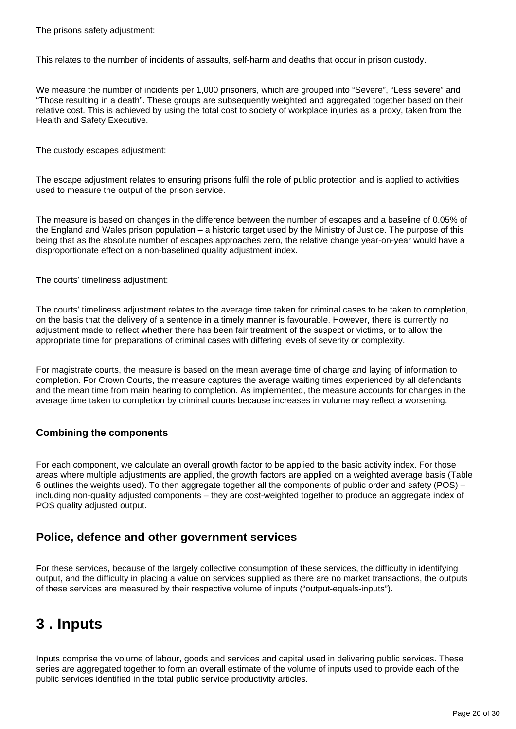The prisons safety adjustment:

This relates to the number of incidents of assaults, self-harm and deaths that occur in prison custody.

We measure the number of incidents per 1,000 prisoners, which are grouped into "Severe", "Less severe" and "Those resulting in a death". These groups are subsequently weighted and aggregated together based on their relative cost. This is achieved by using the total cost to society of workplace injuries as a proxy, taken from the Health and Safety Executive.

The custody escapes adjustment:

The escape adjustment relates to ensuring prisons fulfil the role of public protection and is applied to activities used to measure the output of the prison service.

The measure is based on changes in the difference between the number of escapes and a baseline of 0.05% of the England and Wales prison population – a historic target used by the Ministry of Justice. The purpose of this being that as the absolute number of escapes approaches zero, the relative change year-on-year would have a disproportionate effect on a non-baselined quality adjustment index.

The courts' timeliness adjustment:

The courts' timeliness adjustment relates to the average time taken for criminal cases to be taken to completion, on the basis that the delivery of a sentence in a timely manner is favourable. However, there is currently no adjustment made to reflect whether there has been fair treatment of the suspect or victims, or to allow the appropriate time for preparations of criminal cases with differing levels of severity or complexity.

For magistrate courts, the measure is based on the mean average time of charge and laying of information to completion. For Crown Courts, the measure captures the average waiting times experienced by all defendants and the mean time from main hearing to completion. As implemented, the measure accounts for changes in the average time taken to completion by criminal courts because increases in volume may reflect a worsening.

#### **Combining the components**

For each component, we calculate an overall growth factor to be applied to the basic activity index. For those areas where multiple adjustments are applied, the growth factors are applied on a weighted average basis (Table 6 outlines the weights used). To then aggregate together all the components of public order and safety (POS) – including non-quality adjusted components – they are cost-weighted together to produce an aggregate index of POS quality adjusted output.

#### **Police, defence and other government services**

For these services, because of the largely collective consumption of these services, the difficulty in identifying output, and the difficulty in placing a value on services supplied as there are no market transactions, the outputs of these services are measured by their respective volume of inputs ("output-equals-inputs").

## <span id="page-19-0"></span>**3 . Inputs**

Inputs comprise the volume of labour, goods and services and capital used in delivering public services. These series are aggregated together to form an overall estimate of the volume of inputs used to provide each of the public services identified in the total public service productivity articles.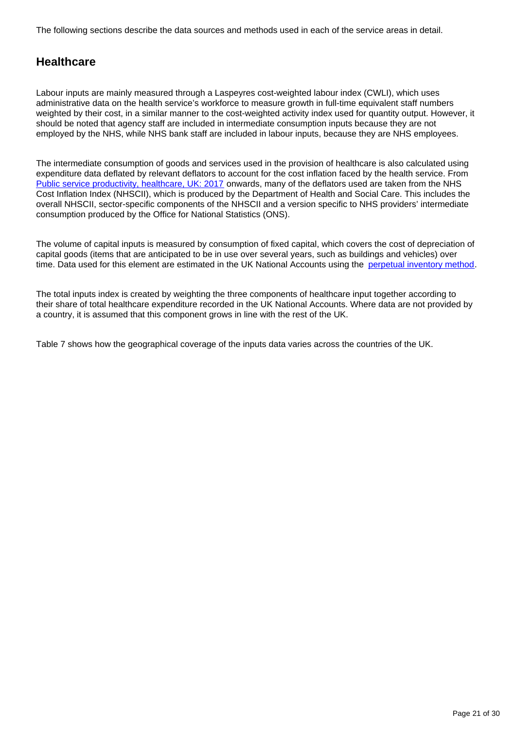The following sections describe the data sources and methods used in each of the service areas in detail.

## **Healthcare**

Labour inputs are mainly measured through a Laspeyres cost-weighted labour index (CWLI), which uses administrative data on the health service's workforce to measure growth in full-time equivalent staff numbers weighted by their cost, in a similar manner to the cost-weighted activity index used for quantity output. However, it should be noted that agency staff are included in intermediate consumption inputs because they are not employed by the NHS, while NHS bank staff are included in labour inputs, because they are NHS employees.

The intermediate consumption of goods and services used in the provision of healthcare is also calculated using expenditure data deflated by relevant deflators to account for the cost inflation faced by the health service. From [Public service productivity, healthcare, UK: 2017](https://www.ons.gov.uk/economy/economicoutputandproductivity/publicservicesproductivity/articles/publicservicesproductivityestimateshealthcare/2017) onwards, many of the deflators used are taken from the NHS Cost Inflation Index (NHSCII), which is produced by the Department of Health and Social Care. This includes the overall NHSCII, sector-specific components of the NHSCII and a version specific to NHS providers' intermediate consumption produced by the Office for National Statistics (ONS).

The volume of capital inputs is measured by consumption of fixed capital, which covers the cost of depreciation of capital goods (items that are anticipated to be in use over several years, such as buildings and vehicles) over time. Data used for this element are estimated in the UK National Accounts using the [perpetual inventory method.](https://www.ons.gov.uk/economy/nationalaccounts/uksectoraccounts/qmis/capitalstocksandcapitalconsumptionqmi)

The total inputs index is created by weighting the three components of healthcare input together according to their share of total healthcare expenditure recorded in the UK National Accounts. Where data are not provided by a country, it is assumed that this component grows in line with the rest of the UK.

Table 7 shows how the geographical coverage of the inputs data varies across the countries of the UK.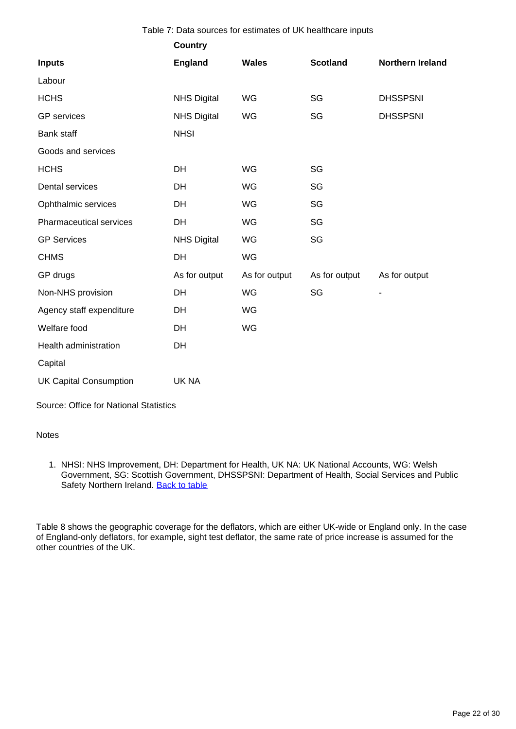| Table 7: Data sources for estimates of UK healthcare inputs |                    |               |                 |                              |
|-------------------------------------------------------------|--------------------|---------------|-----------------|------------------------------|
|                                                             | <b>Country</b>     |               |                 |                              |
| <b>Inputs</b>                                               | <b>England</b>     | <b>Wales</b>  | <b>Scotland</b> | Northern Ireland             |
| Labour                                                      |                    |               |                 |                              |
| <b>HCHS</b>                                                 | <b>NHS Digital</b> | WG            | SG              | <b>DHSSPSNI</b>              |
| <b>GP</b> services                                          | <b>NHS Digital</b> | WG            | SG              | <b>DHSSPSNI</b>              |
| <b>Bank staff</b>                                           | <b>NHSI</b>        |               |                 |                              |
| Goods and services                                          |                    |               |                 |                              |
| <b>HCHS</b>                                                 | <b>DH</b>          | WG            | SG              |                              |
| Dental services                                             | <b>DH</b>          | WG            | SG              |                              |
| Ophthalmic services                                         | DH                 | WG            | SG              |                              |
| Pharmaceutical services                                     | DH                 | WG            | SG              |                              |
| <b>GP Services</b>                                          | <b>NHS Digital</b> | WG            | SG              |                              |
| <b>CHMS</b>                                                 | <b>DH</b>          | WG            |                 |                              |
| GP drugs                                                    | As for output      | As for output | As for output   | As for output                |
| Non-NHS provision                                           | DH                 | WG            | SG              | $\qquad \qquad \blacksquare$ |
| Agency staff expenditure                                    | DH                 | <b>WG</b>     |                 |                              |
| Welfare food                                                | DH                 | WG            |                 |                              |
| Health administration                                       | DH                 |               |                 |                              |
| Capital                                                     |                    |               |                 |                              |
| <b>UK Capital Consumption</b>                               | UK NA              |               |                 |                              |

Source: Office for National Statistics

#### **Notes**

1. NHSI: NHS Improvement, DH: Department for Health, UK NA: UK National Accounts, WG: Welsh Government, SG: Scottish Government, DHSSPSNI: Department of Health, Social Services and Public Safety Northern Ireland. [Back to table](#page-0-0)

Table 8 shows the geographic coverage for the deflators, which are either UK-wide or England only. In the case of England-only deflators, for example, sight test deflator, the same rate of price increase is assumed for the other countries of the UK.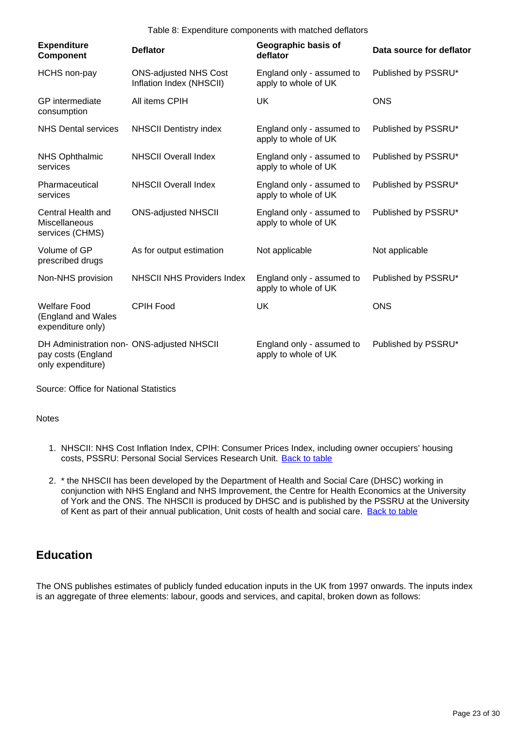Table 8: Expenditure components with matched deflators

| <b>Expenditure</b><br><b>Component</b>                                                | <b>Deflator</b>                                          | Geographic basis of<br>deflator                   | Data source for deflator |
|---------------------------------------------------------------------------------------|----------------------------------------------------------|---------------------------------------------------|--------------------------|
| <b>HCHS</b> non-pay                                                                   | <b>ONS-adjusted NHS Cost</b><br>Inflation Index (NHSCII) | England only - assumed to<br>apply to whole of UK | Published by PSSRU*      |
| GP intermediate<br>consumption                                                        | All items CPIH                                           | <b>UK</b>                                         | <b>ONS</b>               |
| <b>NHS Dental services</b>                                                            | <b>NHSCII Dentistry index</b>                            | England only - assumed to<br>apply to whole of UK | Published by PSSRU*      |
| <b>NHS Ophthalmic</b><br>services                                                     | <b>NHSCII Overall Index</b>                              | England only - assumed to<br>apply to whole of UK | Published by PSSRU*      |
| Pharmaceutical<br>services                                                            | <b>NHSCII Overall Index</b>                              | England only - assumed to<br>apply to whole of UK | Published by PSSRU*      |
| Central Health and<br>Miscellaneous<br>services (CHMS)                                | <b>ONS-adjusted NHSCII</b>                               | England only - assumed to<br>apply to whole of UK | Published by PSSRU*      |
| Volume of GP<br>prescribed drugs                                                      | As for output estimation                                 | Not applicable                                    | Not applicable           |
| Non-NHS provision                                                                     | <b>NHSCII NHS Providers Index</b>                        | England only - assumed to<br>apply to whole of UK | Published by PSSRU*      |
| <b>Welfare Food</b><br>(England and Wales<br>expenditure only)                        | <b>CPIH Food</b>                                         | <b>UK</b>                                         | <b>ONS</b>               |
| DH Administration non- ONS-adjusted NHSCII<br>pay costs (England<br>only expenditure) |                                                          | England only - assumed to<br>apply to whole of UK | Published by PSSRU*      |

Source: Office for National Statistics

**Notes** 

- 1. NHSCII: NHS Cost Inflation Index, CPIH: Consumer Prices Index, including owner occupiers' housing costs, PSSRU: Personal Social Services Research Unit. [Back to table](#page-0-0)
- 2. \* the NHSCII has been developed by the Department of Health and Social Care (DHSC) working in conjunction with NHS England and NHS Improvement, the Centre for Health Economics at the University of York and the ONS. The NHSCII is produced by DHSC and is published by the PSSRU at the University of Kent as part of their annual publication, Unit costs of health and social care. [Back to table](#page-0-0)

## **Education**

The ONS publishes estimates of publicly funded education inputs in the UK from 1997 onwards. The inputs index is an aggregate of three elements: labour, goods and services, and capital, broken down as follows: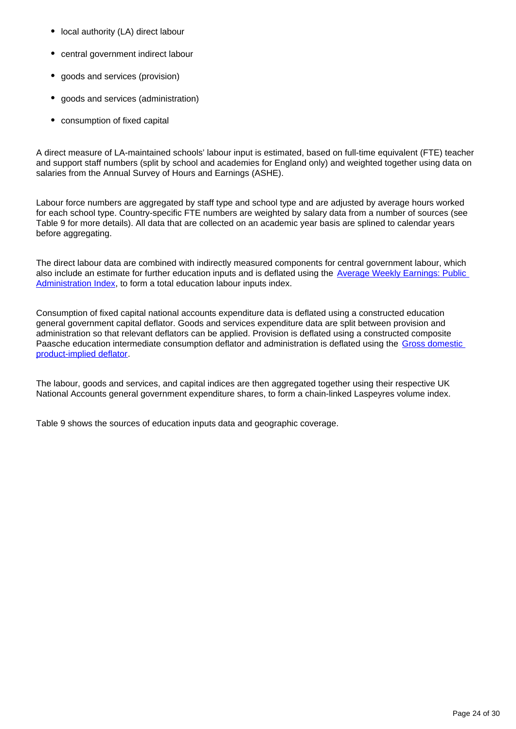- local authority (LA) direct labour
- central government indirect labour
- goods and services (provision)
- goods and services (administration)
- consumption of fixed capital

A direct measure of LA-maintained schools' labour input is estimated, based on full-time equivalent (FTE) teacher and support staff numbers (split by school and academies for England only) and weighted together using data on salaries from the Annual Survey of Hours and Earnings (ASHE).

Labour force numbers are aggregated by staff type and school type and are adjusted by average hours worked for each school type. Country-specific FTE numbers are weighted by salary data from a number of sources (see Table 9 for more details). All data that are collected on an academic year basis are splined to calendar years before aggregating.

The direct labour data are combined with indirectly measured components for central government labour, which also include an estimate for further education inputs and is deflated using the Average Weekly Earnings: Public [Administration Index](https://www.ons.gov.uk/employmentandlabourmarket/peopleinwork/earningsandworkinghours/timeseries/k5ba/emp), to form a total education labour inputs index.

Consumption of fixed capital national accounts expenditure data is deflated using a constructed education general government capital deflator. Goods and services expenditure data are split between provision and administration so that relevant deflators can be applied. Provision is deflated using a constructed composite Paasche education intermediate consumption deflator and administration is deflated using the Gross domestic [product-implied deflator.](https://www.ons.gov.uk/economy/grossdomesticproductgdp/timeseries/ybgb/pn2?referrer=search&searchTerm=ybgb)

The labour, goods and services, and capital indices are then aggregated together using their respective UK National Accounts general government expenditure shares, to form a chain-linked Laspeyres volume index.

Table 9 shows the sources of education inputs data and geographic coverage.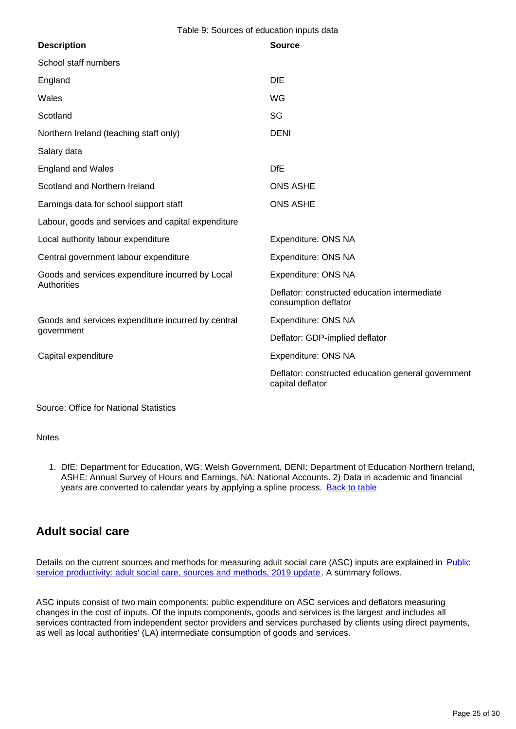Table 9: Sources of education inputs data

| <b>ONS ASHE</b>                                                        |
|------------------------------------------------------------------------|
| <b>ONS ASHE</b>                                                        |
|                                                                        |
| Expenditure: ONS NA                                                    |
| Expenditure: ONS NA                                                    |
| Expenditure: ONS NA                                                    |
| Deflator: constructed education intermediate<br>consumption deflator   |
| Expenditure: ONS NA                                                    |
| Deflator: GDP-implied deflator                                         |
| Expenditure: ONS NA                                                    |
| Deflator: constructed education general government<br>capital deflator |
|                                                                        |

Source: Office for National Statistics

**Notes** 

1. DfE: Department for Education, WG: Welsh Government, DENI: Department of Education Northern Ireland, ASHE: Annual Survey of Hours and Earnings, NA: National Accounts. 2) Data in academic and financial years are converted to calendar years by applying a spline process. [Back to table](#page-0-0)

## **Adult social care**

Details on the current sources and methods for measuring adult social care (ASC) inputs are explained in Public [service productivity: adult social care, sources and methods, 2019 update.](https://www.ons.gov.uk/economy/economicoutputandproductivity/publicservicesproductivity/methodologies/publicserviceproductivityadultsocialcaresourcesandmethods2019update) A summary follows.

ASC inputs consist of two main components: public expenditure on ASC services and deflators measuring changes in the cost of inputs. Of the inputs components, goods and services is the largest and includes all services contracted from independent sector providers and services purchased by clients using direct payments, as well as local authorities' (LA) intermediate consumption of goods and services.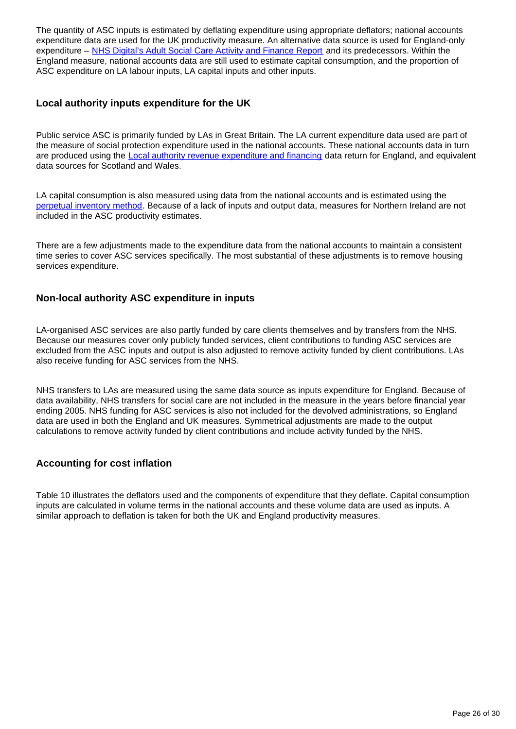The quantity of ASC inputs is estimated by deflating expenditure using appropriate deflators; national accounts expenditure data are used for the UK productivity measure. An alternative data source is used for England-only expenditure – [NHS Digital's Adult Social Care Activity and Finance Report](https://digital.nhs.uk/data-and-information/publications/statistical/adult-social-care-activity-and-finance-report) and its predecessors. Within the England measure, national accounts data are still used to estimate capital consumption, and the proportion of ASC expenditure on LA labour inputs, LA capital inputs and other inputs.

#### **Local authority inputs expenditure for the UK**

Public service ASC is primarily funded by LAs in Great Britain. The LA current expenditure data used are part of the measure of social protection expenditure used in the national accounts. These national accounts data in turn are produced using the [Local authority revenue expenditure and financing](https://www.gov.uk/government/collections/local-authority-revenue-expenditure-and-financing) data return for England, and equivalent data sources for Scotland and Wales.

LA capital consumption is also measured using data from the national accounts and is estimated using the [perpetual inventory method](https://www.ons.gov.uk/economy/nationalaccounts/uksectoraccounts/methodologies/capitalstocksandcapitalconsumptionqmi). Because of a lack of inputs and output data, measures for Northern Ireland are not included in the ASC productivity estimates.

There are a few adjustments made to the expenditure data from the national accounts to maintain a consistent time series to cover ASC services specifically. The most substantial of these adjustments is to remove housing services expenditure.

#### **Non-local authority ASC expenditure in inputs**

LA-organised ASC services are also partly funded by care clients themselves and by transfers from the NHS. Because our measures cover only publicly funded services, client contributions to funding ASC services are excluded from the ASC inputs and output is also adjusted to remove activity funded by client contributions. LAs also receive funding for ASC services from the NHS.

NHS transfers to LAs are measured using the same data source as inputs expenditure for England. Because of data availability, NHS transfers for social care are not included in the measure in the years before financial year ending 2005. NHS funding for ASC services is also not included for the devolved administrations, so England data are used in both the England and UK measures. Symmetrical adjustments are made to the output calculations to remove activity funded by client contributions and include activity funded by the NHS.

#### **Accounting for cost inflation**

Table 10 illustrates the deflators used and the components of expenditure that they deflate. Capital consumption inputs are calculated in volume terms in the national accounts and these volume data are used as inputs. A similar approach to deflation is taken for both the UK and England productivity measures.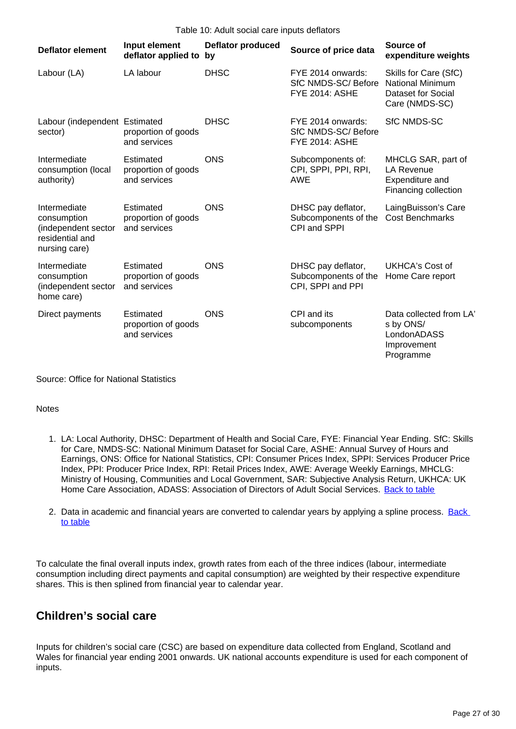| <b>Deflator element</b>                                                                | Input element<br>deflator applied to             | <b>Deflator produced</b><br>by | Source of price data                                             | Source of<br>expenditure weights                                                         |
|----------------------------------------------------------------------------------------|--------------------------------------------------|--------------------------------|------------------------------------------------------------------|------------------------------------------------------------------------------------------|
| Labour (LA)                                                                            | LA labour                                        | <b>DHSC</b>                    | FYE 2014 onwards:<br>SfC NMDS-SC/Before<br><b>FYE 2014: ASHE</b> | Skills for Care (SfC)<br><b>National Minimum</b><br>Dataset for Social<br>Care (NMDS-SC) |
| Labour (independent Estimated<br>sector)                                               | proportion of goods<br>and services              | <b>DHSC</b>                    | FYE 2014 onwards:<br>SfC NMDS-SC/Before<br><b>FYE 2014: ASHE</b> | <b>SfC NMDS-SC</b>                                                                       |
| Intermediate<br>consumption (local<br>authority)                                       | Estimated<br>proportion of goods<br>and services | <b>ONS</b>                     | Subcomponents of:<br>CPI, SPPI, PPI, RPI,<br><b>AWE</b>          | MHCLG SAR, part of<br><b>LA Revenue</b><br>Expenditure and<br>Financing collection       |
| Intermediate<br>consumption<br>(independent sector<br>residential and<br>nursing care) | Estimated<br>proportion of goods<br>and services | <b>ONS</b>                     | DHSC pay deflator,<br>Subcomponents of the<br>CPI and SPPI       | LaingBuisson's Care<br><b>Cost Benchmarks</b>                                            |
| Intermediate<br>consumption<br>(independent sector<br>home care)                       | Estimated<br>proportion of goods<br>and services | <b>ONS</b>                     | DHSC pay deflator,<br>Subcomponents of the<br>CPI, SPPI and PPI  | UKHCA's Cost of<br>Home Care report                                                      |
| Direct payments                                                                        | Estimated<br>proportion of goods<br>and services | <b>ONS</b>                     | CPI and its<br>subcomponents                                     | Data collected from LA<br>s by ONS/<br>LondonADASS<br>Improvement<br>Programme           |

Source: Office for National Statistics

#### **Notes**

- 1. LA: Local Authority, DHSC: Department of Health and Social Care, FYE: Financial Year Ending. SfC: Skills for Care, NMDS-SC: National Minimum Dataset for Social Care, ASHE: Annual Survey of Hours and Earnings, ONS: Office for National Statistics, CPI: Consumer Prices Index, SPPI: Services Producer Price Index, PPI: Producer Price Index, RPI: Retail Prices Index, AWE: Average Weekly Earnings, MHCLG: Ministry of Housing, Communities and Local Government, SAR: Subjective Analysis Return, UKHCA: UK Home Care Association, ADASS: Association of Directors of Adult Social Services. [Back to table](#page-0-0)
- 2. Data in academic and financial years are converted to calendar years by applying a spline process. Back [to table](#page-0-0)

To calculate the final overall inputs index, growth rates from each of the three indices (labour, intermediate consumption including direct payments and capital consumption) are weighted by their respective expenditure shares. This is then splined from financial year to calendar year.

### **Children's social care**

Inputs for children's social care (CSC) are based on expenditure data collected from England, Scotland and Wales for financial year ending 2001 onwards. UK national accounts expenditure is used for each component of inputs.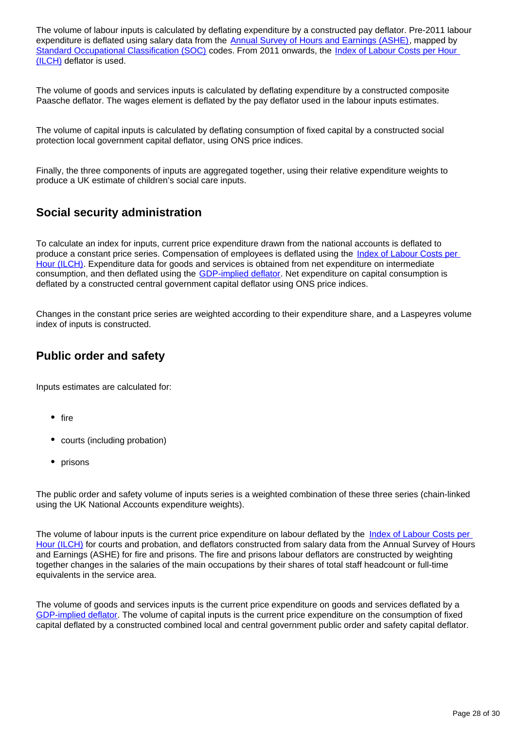The volume of labour inputs is calculated by deflating expenditure by a constructed pay deflator. Pre-2011 labour expenditure is deflated using salary data from the [Annual Survey of Hours and Earnings \(ASHE\)](https://www.ons.gov.uk/employmentandlabourmarket/peopleinwork/earningsandworkinghours), mapped by [Standard Occupational Classification \(SOC\)](https://www.ons.gov.uk/methodology/classificationsandstandards/standardoccupationalclassificationsoc) codes. From 2011 onwards, the Index of Labour Costs per Hour [\(ILCH\)](https://www.ons.gov.uk/employmentandlabourmarket/peopleinwork/earningsandworkinghours/datasets/indexoflabourcostsperhourilchnonseasonallyadjusted) deflator is used.

The volume of goods and services inputs is calculated by deflating expenditure by a constructed composite Paasche deflator. The wages element is deflated by the pay deflator used in the labour inputs estimates.

The volume of capital inputs is calculated by deflating consumption of fixed capital by a constructed social protection local government capital deflator, using ONS price indices.

Finally, the three components of inputs are aggregated together, using their relative expenditure weights to produce a UK estimate of children's social care inputs.

## **Social security administration**

To calculate an index for inputs, current price expenditure drawn from the national accounts is deflated to produce a constant price series. Compensation of employees is deflated using the *Index of Labour Costs per* [Hour \(ILCH\)](https://www.ons.gov.uk/employmentandlabourmarket/peopleinwork/earningsandworkinghours/datasets/indexoflabourcostsperhourilchnonseasonallyadjusted). Expenditure data for goods and services is obtained from net expenditure on intermediate consumption, and then deflated using the [GDP-implied deflator.](https://www.ons.gov.uk/economy/grossdomesticproductgdp/timeseries/ybgb/pn2?referrer=search&searchTerm=ybgb) Net expenditure on capital consumption is deflated by a constructed central government capital deflator using ONS price indices.

Changes in the constant price series are weighted according to their expenditure share, and a Laspeyres volume index of inputs is constructed.

### **Public order and safety**

Inputs estimates are calculated for:

- $•$  fire
- courts (including probation)
- prisons

The public order and safety volume of inputs series is a weighted combination of these three series (chain-linked using the UK National Accounts expenditure weights).

The volume of labour inputs is the current price expenditure on labour deflated by the Index of Labour Costs per [Hour \(ILCH\)](https://www.ons.gov.uk/employmentandlabourmarket/peopleinwork/earningsandworkinghours/bulletins/indexoflabourcostsperhourilch/previousReleases) for courts and probation, and deflators constructed from salary data from the Annual Survey of Hours and Earnings (ASHE) for fire and prisons. The fire and prisons labour deflators are constructed by weighting together changes in the salaries of the main occupations by their shares of total staff headcount or full-time equivalents in the service area.

The volume of goods and services inputs is the current price expenditure on goods and services deflated by a [GDP-implied deflator.](https://www.ons.gov.uk/economy/grossdomesticproductgdp/timeseries/ybgb/pn2?referrer=search&searchTerm=ybgb) The volume of capital inputs is the current price expenditure on the consumption of fixed capital deflated by a constructed combined local and central government public order and safety capital deflator.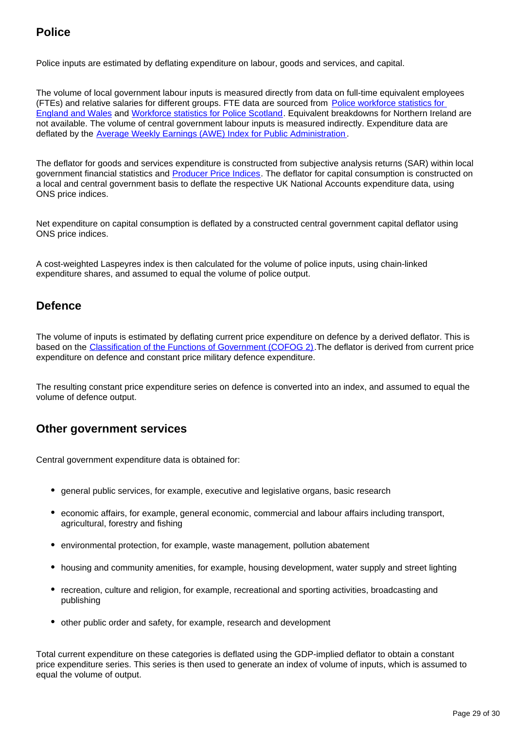## **Police**

Police inputs are estimated by deflating expenditure on labour, goods and services, and capital.

The volume of local government labour inputs is measured directly from data on full-time equivalent employees (FTEs) and relative salaries for different groups. FTE data are sourced from [Police workforce statistics for](https://www.gov.uk/government/collections/police-workforce-england-and-wales)  [England and Wales](https://www.gov.uk/government/collections/police-workforce-england-and-wales) and [Workforce statistics for Police Scotland.](https://www.scotland.police.uk/about-us/police-scotland/212598/) Equivalent breakdowns for Northern Ireland are not available. The volume of central government labour inputs is measured indirectly. Expenditure data are deflated by the [Average Weekly Earnings \(AWE\) Index for Public Administration](https://www.ons.gov.uk/employmentandlabourmarket/peopleinwork/earningsandworkinghours/timeseries/k5ba/emp).

The deflator for goods and services expenditure is constructed from subjective analysis returns (SAR) within local government financial statistics and **Producer Price Indices**. The deflator for capital consumption is constructed on a local and central government basis to deflate the respective UK National Accounts expenditure data, using ONS price indices.

Net expenditure on capital consumption is deflated by a constructed central government capital deflator using ONS price indices.

A cost-weighted Laspeyres index is then calculated for the volume of police inputs, using chain-linked expenditure shares, and assumed to equal the volume of police output.

## **Defence**

The volume of inputs is estimated by deflating current price expenditure on defence by a derived deflator. This is based on the [Classification of the Functions of Government \(COFOG 2\).](https://ec.europa.eu/eurostat/statistics-explained/index.php?title=Glossary:Classification_of_the_functions_of_government_(COFOG))The deflator is derived from current price expenditure on defence and constant price military defence expenditure.

The resulting constant price expenditure series on defence is converted into an index, and assumed to equal the volume of defence output.

## **Other government services**

Central government expenditure data is obtained for:

- general public services, for example, executive and legislative organs, basic research
- economic affairs, for example, general economic, commercial and labour affairs including transport, agricultural, forestry and fishing
- environmental protection, for example, waste management, pollution abatement
- housing and community amenities, for example, housing development, water supply and street lighting
- recreation, culture and religion, for example, recreational and sporting activities, broadcasting and publishing
- other public order and safety, for example, research and development

Total current expenditure on these categories is deflated using the GDP-implied deflator to obtain a constant price expenditure series. This series is then used to generate an index of volume of inputs, which is assumed to equal the volume of output.